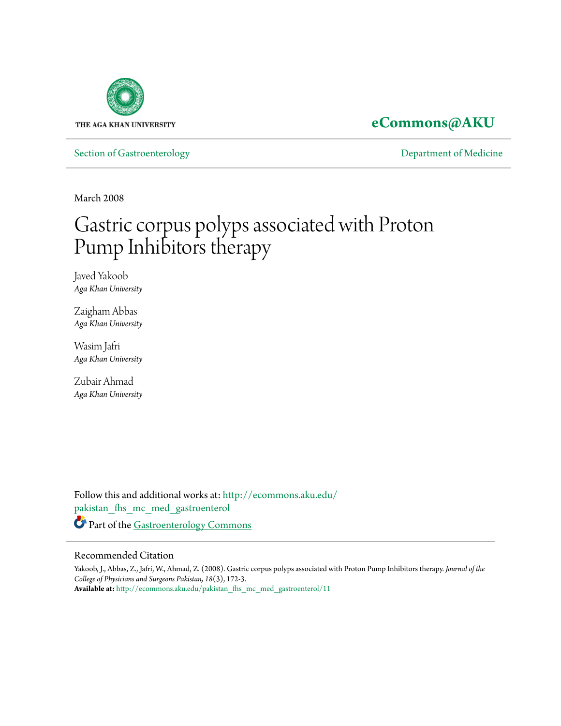

**[eCommons@AKU](http://ecommons.aku.edu?utm_source=ecommons.aku.edu%2Fpakistan_fhs_mc_med_gastroenterol%2F11&utm_medium=PDF&utm_campaign=PDFCoverPages)**

[Section of Gastroenterology](http://ecommons.aku.edu/pakistan_fhs_mc_med_gastroenterol?utm_source=ecommons.aku.edu%2Fpakistan_fhs_mc_med_gastroenterol%2F11&utm_medium=PDF&utm_campaign=PDFCoverPages) **Section of Gastroenterology** [Department of Medicine](http://ecommons.aku.edu/pakistan_fhs_mc_med?utm_source=ecommons.aku.edu%2Fpakistan_fhs_mc_med_gastroenterol%2F11&utm_medium=PDF&utm_campaign=PDFCoverPages)

March 2008

# Gastric corpus polyps associated with Proton Pump Inhibitors therapy

Javed Yakoob *Aga Khan University*

Zaigham Abbas *Aga Khan University*

Wasim Jafri *Aga Khan University*

Zubair Ahmad *Aga Khan University*

Follow this and additional works at: [http://ecommons.aku.edu/](http://ecommons.aku.edu/pakistan_fhs_mc_med_gastroenterol?utm_source=ecommons.aku.edu%2Fpakistan_fhs_mc_med_gastroenterol%2F11&utm_medium=PDF&utm_campaign=PDFCoverPages) [pakistan\\_fhs\\_mc\\_med\\_gastroenterol](http://ecommons.aku.edu/pakistan_fhs_mc_med_gastroenterol?utm_source=ecommons.aku.edu%2Fpakistan_fhs_mc_med_gastroenterol%2F11&utm_medium=PDF&utm_campaign=PDFCoverPages) Part of the [Gastroenterology Commons](http://network.bepress.com/hgg/discipline/687?utm_source=ecommons.aku.edu%2Fpakistan_fhs_mc_med_gastroenterol%2F11&utm_medium=PDF&utm_campaign=PDFCoverPages)

#### Recommended Citation

Yakoob, J., Abbas, Z., Jafri, W., Ahmad, Z. (2008). Gastric corpus polyps associated with Proton Pump Inhibitors therapy. *Journal of the College of Physicians and Surgeons Pakistan, 18*(3), 172-3. **Available at:** [http://ecommons.aku.edu/pakistan\\_fhs\\_mc\\_med\\_gastroenterol/11](http://ecommons.aku.edu/pakistan_fhs_mc_med_gastroenterol/11)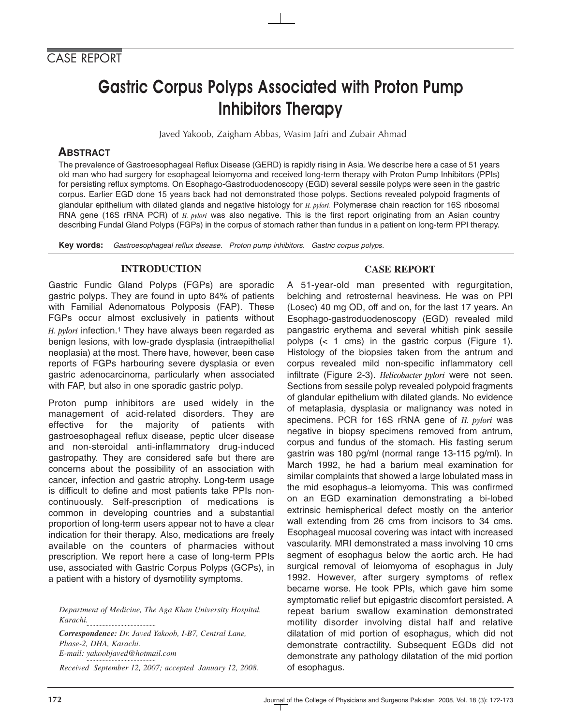## Gastric Corpus Polyps Associated with Proton Pump Inhibitors Therapy

Javed Yakoob, Zaigham Abbas, Wasim Jafri and Zubair Ahmad

### **ABSTRACT**

The prevalence of Gastroesophageal Reflux Disease (GERD) is rapidly rising in Asia. We describe here a case of 51 years old man who had surgery for esophageal leiomyoma and received long-term therapy with Proton Pump Inhibitors (PPIs) for persisting reflux symptoms. On Esophago-Gastroduodenoscopy (EGD) several sessile polyps were seen in the gastric corpus. Earlier EGD done 15 years back had not demonstrated those polyps. Sections revealed polypoid fragments of glandular epithelium with dilated glands and negative histology for *H. pylori.* Polymerase chain reaction for 16S ribosomal RNA gene (16S rRNA PCR) of *H. pylori* was also negative. This is the first report originating from an Asian country describing Fundal Gland Polyps (FGPs) in the corpus of stomach rather than fundus in a patient on long-term PPI therapy.

**Key words:** *Gastroesophageal reflux disease. Proton pump inhibitors. Gastric corpus polyps.*

#### **INTRODUCTION**

Gastric Fundic Gland Polyps (FGPs) are sporadic gastric polyps. They are found in upto 84% of patients with Familial Adenomatous Polyposis (FAP). These FGPs occur almost exclusively in patients without *H. pylori* infection.1 They have always been regarded as benign lesions, with low-grade dysplasia (intraepithelial neoplasia) at the most. There have, however, been case reports of FGPs harbouring severe dysplasia or even gastric adenocarcinoma, particularly when associated with FAP, but also in one sporadic gastric polyp.

Proton pump inhibitors are used widely in the management of acid-related disorders. They are effective for the majority of patients with gastroesophageal reflux disease, peptic ulcer disease and non-steroidal anti-inflammatory drug-induced gastropathy. They are considered safe but there are concerns about the possibility of an association with cancer, infection and gastric atrophy. Long-term usage is difficult to define and most patients take PPIs noncontinuously. Self-prescription of medications is common in developing countries and a substantial proportion of long-term users appear not to have a clear indication for their therapy. Also, medications are freely available on the counters of pharmacies without prescription. We report here a case of long-term PPIs use, associated with Gastric Corpus Polyps (GCPs), in a patient with a history of dysmotility symptoms.

*Department of Medicine, The Aga Khan University Hospital, Karachi.*

*Correspondence: Dr. Javed Yakoob, I-B7, Central Lane, Phase-2, DHA, Karachi. E-mail: yakoobjaved@hotmail.com*

*Received September 12, 2007; accepted January 12, 2008.*

#### **CASE REPORT**

A 51-year-old man presented with regurgitation, belching and retrosternal heaviness. He was on PPI (Losec) 40 mg OD, off and on, for the last 17 years. An Esophago-gastroduodenoscopy (EGD) revealed mild pangastric erythema and several whitish pink sessile polyps (< 1 cms) in the gastric corpus (Figure 1). Histology of the biopsies taken from the antrum and corpus revealed mild non-specific inflammatory cell infiltrate (Figure 2-3). *Helicobacter pylori* were not seen. Sections from sessile polyp revealed polypoid fragments of glandular epithelium with dilated glands. No evidence of metaplasia, dysplasia or malignancy was noted in specimens. PCR for 16S rRNA gene of *H. pylori* was negative in biopsy specimens removed from antrum, corpus and fundus of the stomach. His fasting serum gastrin was 180 pg/ml (normal range 13-115 pg/ml). In March 1992, he had a barium meal examination for similar complaints that showed a large lobulated mass in the mid esophagus–a leiomyoma. This was confirmed on an EGD examination demonstrating a bi-lobed extrinsic hemispherical defect mostly on the anterior wall extending from 26 cms from incisors to 34 cms. Esophageal mucosal covering was intact with increased vascularity. MRI demonstrated a mass involving 10 cms segment of esophagus below the aortic arch. He had surgical removal of leiomyoma of esophagus in July 1992. However, after surgery symptoms of reflex became worse. He took PPIs, which gave him some symptomatic relief but epigastric discomfort persisted. A repeat barium swallow examination demonstrated motility disorder involving distal half and relative dilatation of mid portion of esophagus, which did not demonstrate contractility. Subsequent EGDs did not demonstrate any pathology dilatation of the mid portion of esophagus.